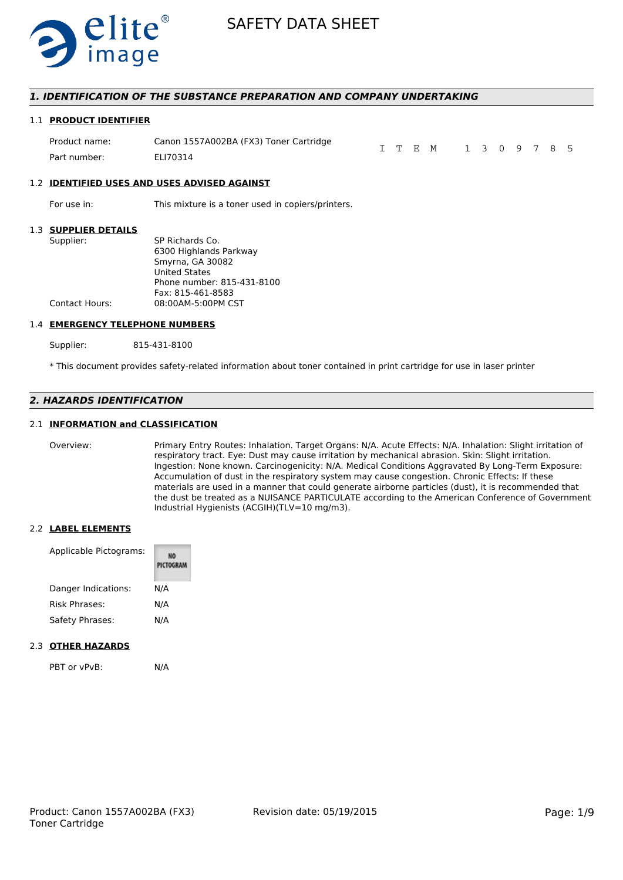

### *1. IDENTIFICATION OF THE SUBSTANCE PREPARATION AND COMPANY UNDERTAKING*

#### 1.1 **PRODUCT IDENTIFIER**

| Product name: | Canon 1557A002BA (FX3) Toner Cartridge |  | I T E M 1 3 0 9 7 8 5 |  |  |  |  |
|---------------|----------------------------------------|--|-----------------------|--|--|--|--|
| Part number:  | ELI70314                               |  |                       |  |  |  |  |

#### 1.2 **IDENTIFIED USES AND USES ADVISED AGAINST**

For use in: This mixture is a toner used in copiers/printers.

#### 1.3 **SUPPLIER DETAILS**

| Supplier:      | SP Richards Co.            |
|----------------|----------------------------|
|                | 6300 Highlands Parkway     |
|                | Smyrna, GA 30082           |
|                | <b>United States</b>       |
|                | Phone number: 815-431-8100 |
|                | Fax: 815-461-8583          |
| Contact Hours: | 08:00AM-5:00PM CST         |
|                |                            |

#### 1.4 **EMERGENCY TELEPHONE NUMBERS**

Supplier: 815-431-8100

\* This document provides safety-related information about toner contained in print cartridge for use in laser printer

# *2. HAZARDS IDENTIFICATION*

#### 2.1 **INFORMATION and CLASSIFICATION**

Overview: Primary Entry Routes: Inhalation. Target Organs: N/A. Acute Effects: N/A. Inhalation: Slight irritation of respiratory tract. Eye: Dust may cause irritation by mechanical abrasion. Skin: Slight irritation. Ingestion: None known. Carcinogenicity: N/A. Medical Conditions Aggravated By Long-Term Exposure: Accumulation of dust in the respiratory system may cause congestion. Chronic Effects: If these materials are used in a manner that could generate airborne particles (dust), it is recommended that the dust be treated as a NUISANCE PARTICULATE according to the American Conference of Government Industrial Hygienists (ACGIH)(TLV=10 mg/m3).

#### 2.2 **LABEL ELEMENTS**

| Applicable Pictograms: | PICTOGRAM |
|------------------------|-----------|
| Danger Indications:    | N/A       |
| <b>Risk Phrases:</b>   | N/A       |
| Safety Phrases:        | N/A       |
|                        |           |

# 2.3 **OTHER HAZARDS**

PBT or vPvB: N/A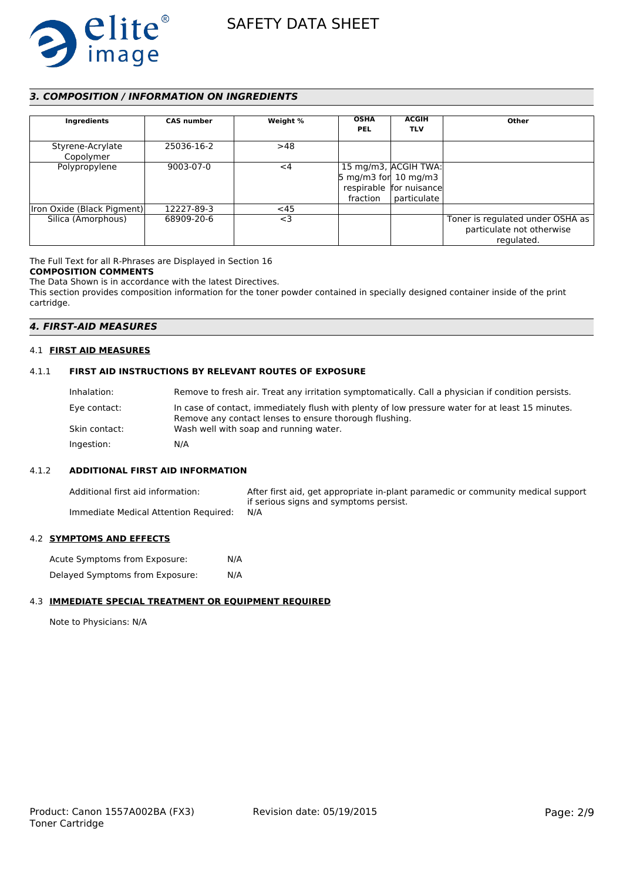

# *3. COMPOSITION / INFORMATION ON INGREDIENTS*

| Ingredients                   | <b>CAS number</b> | Weight % | <b>OSHA</b><br><b>PEL</b>                   | <b>ACGIH</b><br><b>TLV</b>                                     | Other                                                                       |
|-------------------------------|-------------------|----------|---------------------------------------------|----------------------------------------------------------------|-----------------------------------------------------------------------------|
| Styrene-Acrylate<br>Copolymer | 25036-16-2        | >48      |                                             |                                                                |                                                                             |
| Polypropylene                 | 9003-07-0         | $<$ 4    | $5 \text{ mg/m}$ 3 for 10 mg/m3<br>fraction | 15 mg/m3, ACGIH TWA:<br>respirable for nuisance<br>particulate |                                                                             |
| Iron Oxide (Black Pigment)    | 12227-89-3        | $<$ 45   |                                             |                                                                |                                                                             |
| Silica (Amorphous)            | 68909-20-6        | $<$ 3    |                                             |                                                                | Toner is regulated under OSHA as<br>particulate not otherwise<br>regulated. |

The Full Text for all R-Phrases are Displayed in Section 16

# **COMPOSITION COMMENTS**

The Data Shown is in accordance with the latest Directives. This section provides composition information for the toner powder contained in specially designed container inside of the print cartridge.

# *4. FIRST-AID MEASURES*

# 4.1 **FIRST AID MEASURES**

# 4.1.1 **FIRST AID INSTRUCTIONS BY RELEVANT ROUTES OF EXPOSURE**

| Inhalation:   | Remove to fresh air. Treat any irritation symptomatically. Call a physician if condition persists.                                                         |
|---------------|------------------------------------------------------------------------------------------------------------------------------------------------------------|
| Eye contact:  | In case of contact, immediately flush with plenty of low pressure water for at least 15 minutes.<br>Remove any contact lenses to ensure thorough flushing. |
| Skin contact: | Wash well with soap and running water.                                                                                                                     |
| Ingestion:    | N/A                                                                                                                                                        |

# 4.1.2 **ADDITIONAL FIRST AID INFORMATION**

Additional first aid information: After first aid, get appropriate in-plant paramedic or community medical support if serious signs and symptoms persist. Immediate Medical Attention Required: N/A

#### 4.2 **SYMPTOMS AND EFFECTS**

Acute Symptoms from Exposure: N/A Delayed Symptoms from Exposure: N/A

# 4.3 **IMMEDIATE SPECIAL TREATMENT OR EQUIPMENT REQUIRED**

Note to Physicians: N/A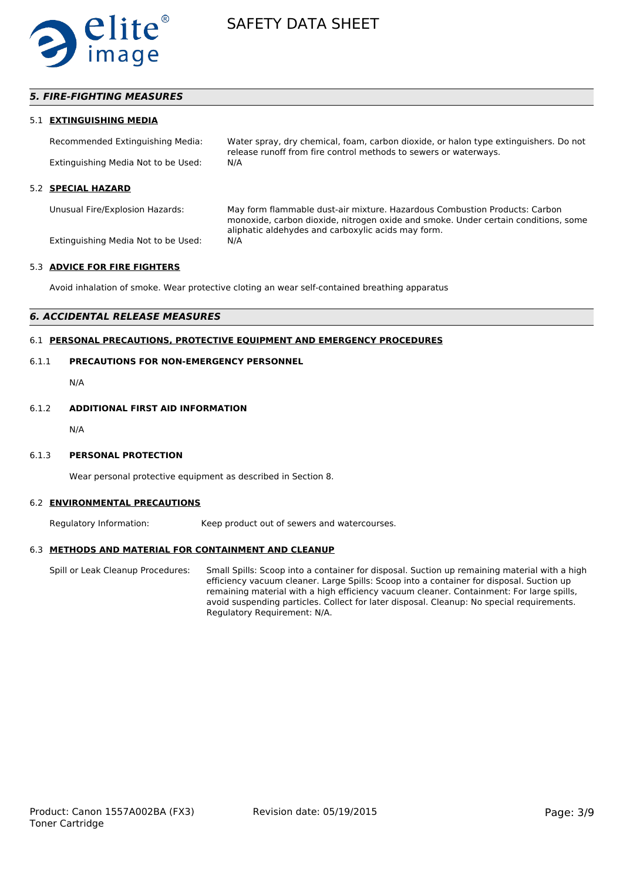

# *5. FIRE-FIGHTING MEASURES*

#### 5.1 **EXTINGUISHING MEDIA**

Recommended Extinguishing Media: Water spray, dry chemical, foam, carbon dioxide, or halon type extinguishers. Do not release runoff from fire control methods to sewers or waterways. Extinguishing Media Not to be Used: N/A

#### 5.2 **SPECIAL HAZARD**

Unusual Fire/Explosion Hazards: May form flammable dust-air mixture. Hazardous Combustion Products: Carbon monoxide, carbon dioxide, nitrogen oxide and smoke. Under certain conditions, some aliphatic aldehydes and carboxylic acids may form. Extinguishing Media Not to be Used: N/A

#### 5.3 **ADVICE FOR FIRE FIGHTERS**

Avoid inhalation of smoke. Wear protective cloting an wear self-contained breathing apparatus

# *6. ACCIDENTAL RELEASE MEASURES*

# 6.1 **PERSONAL PRECAUTIONS, PROTECTIVE EQUIPMENT AND EMERGENCY PROCEDURES**

# 6.1.1 **PRECAUTIONS FOR NON-EMERGENCY PERSONNEL**

N/A

#### 6.1.2 **ADDITIONAL FIRST AID INFORMATION**

N/A

#### 6.1.3 **PERSONAL PROTECTION**

Wear personal protective equipment as described in Section 8.

#### 6.2 **ENVIRONMENTAL PRECAUTIONS**

Regulatory Information: Keep product out of sewers and watercourses.

#### 6.3 **METHODS AND MATERIAL FOR CONTAINMENT AND CLEANUP**

Spill or Leak Cleanup Procedures: Small Spills: Scoop into a container for disposal. Suction up remaining material with a high efficiency vacuum cleaner. Large Spills: Scoop into a container for disposal. Suction up remaining material with a high efficiency vacuum cleaner. Containment: For large spills, avoid suspending particles. Collect for later disposal. Cleanup: No special requirements. Regulatory Requirement: N/A.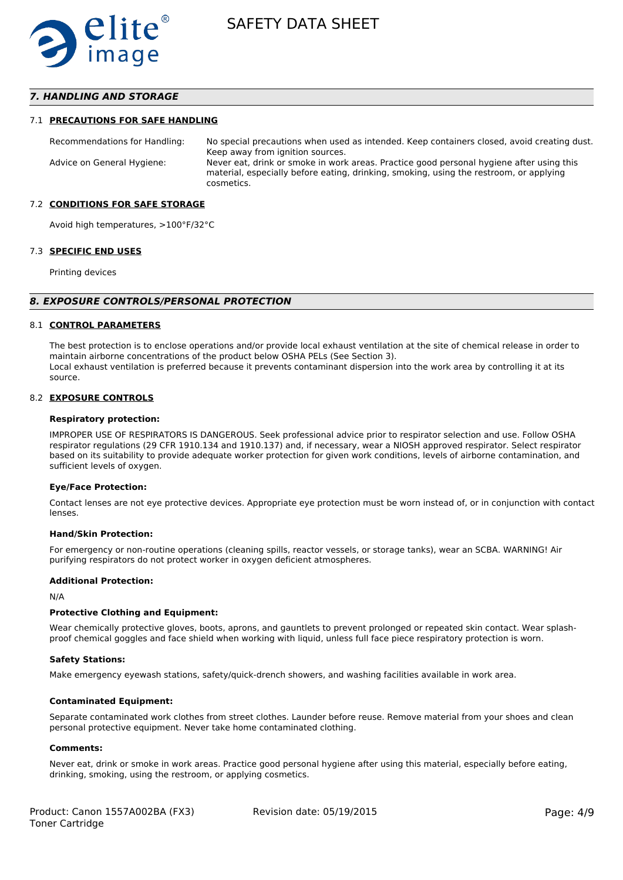

# *7. HANDLING AND STORAGE*

#### 7.1 **PRECAUTIONS FOR SAFE HANDLING**

Recommendations for Handling: No special precautions when used as intended. Keep containers closed, avoid creating dust. Keep away from ignition sources. Advice on General Hygiene: Never eat, drink or smoke in work areas. Practice good personal hygiene after using this material, especially before eating, drinking, smoking, using the restroom, or applying cosmetics.

#### 7.2 **CONDITIONS FOR SAFE STORAGE**

Avoid high temperatures, >100°F/32°C

#### 7.3 **SPECIFIC END USES**

Printing devices

#### *8. EXPOSURE CONTROLS/PERSONAL PROTECTION*

#### 8.1 **CONTROL PARAMETERS**

The best protection is to enclose operations and/or provide local exhaust ventilation at the site of chemical release in order to maintain airborne concentrations of the product below OSHA PELs (See Section 3). Local exhaust ventilation is preferred because it prevents contaminant dispersion into the work area by controlling it at its source.

#### 8.2 **EXPOSURE CONTROLS**

#### **Respiratory protection:**

IMPROPER USE OF RESPIRATORS IS DANGEROUS. Seek professional advice prior to respirator selection and use. Follow OSHA respirator regulations (29 CFR 1910.134 and 1910.137) and, if necessary, wear a NIOSH approved respirator. Select respirator based on its suitability to provide adequate worker protection for given work conditions, levels of airborne contamination, and sufficient levels of oxygen.

#### **Eye/Face Protection:**

Contact lenses are not eye protective devices. Appropriate eye protection must be worn instead of, or in conjunction with contact lenses.

#### **Hand/Skin Protection:**

For emergency or non-routine operations (cleaning spills, reactor vessels, or storage tanks), wear an SCBA. WARNING! Air purifying respirators do not protect worker in oxygen deficient atmospheres.

#### **Additional Protection:**

N/A

#### **Protective Clothing and Equipment:**

Wear chemically protective gloves, boots, aprons, and gauntlets to prevent prolonged or repeated skin contact. Wear splashproof chemical goggles and face shield when working with liquid, unless full face piece respiratory protection is worn.

#### **Safety Stations:**

Make emergency eyewash stations, safety/quick-drench showers, and washing facilities available in work area.

#### **Contaminated Equipment:**

Separate contaminated work clothes from street clothes. Launder before reuse. Remove material from your shoes and clean personal protective equipment. Never take home contaminated clothing.

#### **Comments:**

Never eat, drink or smoke in work areas. Practice good personal hygiene after using this material, especially before eating, drinking, smoking, using the restroom, or applying cosmetics.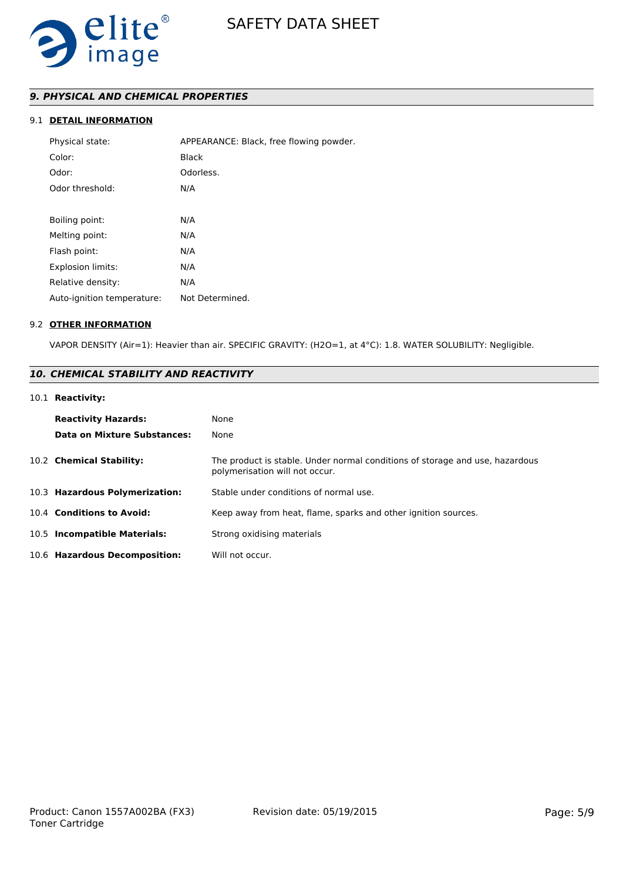

# *9. PHYSICAL AND CHEMICAL PROPERTIES*

# 9.1 **DETAIL INFORMATION**

| Physical state:            | APPEARANCE: Black, free flowing powder. |
|----------------------------|-----------------------------------------|
| Color:                     | Black                                   |
| Odor:                      | Odorless.                               |
| Odor threshold:            | N/A                                     |
|                            |                                         |
| Boiling point:             | N/A                                     |
| Melting point:             | N/A                                     |
| Flash point:               | N/A                                     |
| <b>Explosion limits:</b>   | N/A                                     |
| Relative density:          | N/A                                     |
| Auto-ignition temperature: | Not Determined.                         |

#### 9.2 **OTHER INFORMATION**

VAPOR DENSITY (Air=1): Heavier than air. SPECIFIC GRAVITY: (H2O=1, at 4°C): 1.8. WATER SOLUBILITY: Negligible.

# *10. CHEMICAL STABILITY AND REACTIVITY*

## 10.1 **Reactivity:**

| <b>Reactivity Hazards:</b><br><b>Data on Mixture Substances:</b> | None<br>None                                                                                                   |
|------------------------------------------------------------------|----------------------------------------------------------------------------------------------------------------|
| 10.2 Chemical Stability:                                         | The product is stable. Under normal conditions of storage and use, hazardous<br>polymerisation will not occur. |
| 10.3 Hazardous Polymerization:                                   | Stable under conditions of normal use.                                                                         |
| 10.4 Conditions to Avoid:                                        | Keep away from heat, flame, sparks and other ignition sources.                                                 |
| 10.5 Incompatible Materials:                                     | Strong oxidising materials                                                                                     |
| 10.6 Hazardous Decomposition:                                    | Will not occur.                                                                                                |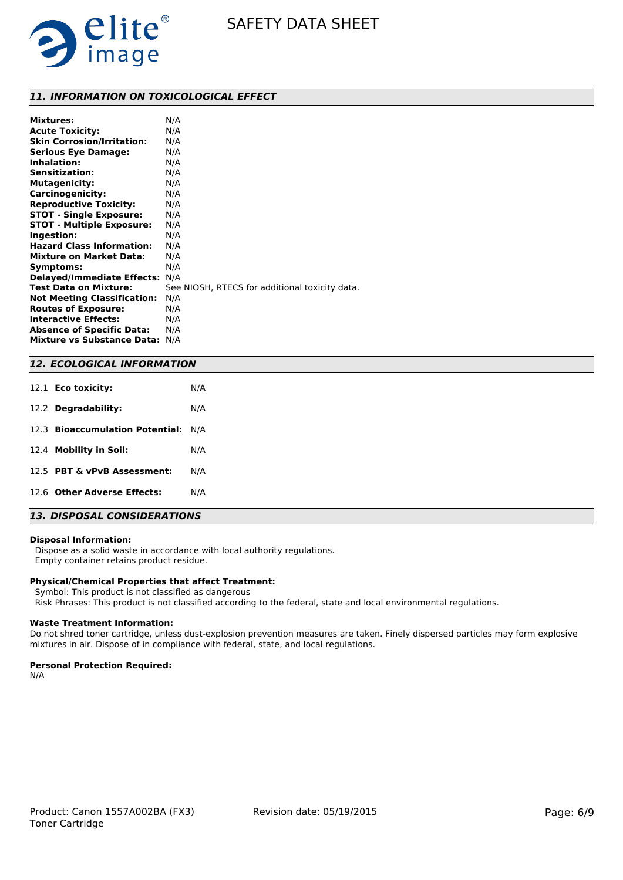

# *11. INFORMATION ON TOXICOLOGICAL EFFECT*

| <b>Mixtures:</b>                   | N/A                                            |
|------------------------------------|------------------------------------------------|
| <b>Acute Toxicity:</b>             | N/A                                            |
| <b>Skin Corrosion/Irritation:</b>  | N/A                                            |
| <b>Serious Eye Damage:</b>         | N/A                                            |
| Inhalation:                        | N/A                                            |
| <b>Sensitization:</b>              | N/A                                            |
| <b>Mutagenicity:</b>               | N/A                                            |
| Carcinogenicity:                   | N/A                                            |
| <b>Reproductive Toxicity:</b>      | N/A                                            |
| <b>STOT - Single Exposure:</b>     | N/A                                            |
| <b>STOT - Multiple Exposure:</b>   | N/A                                            |
| Ingestion:                         | N/A                                            |
| <b>Hazard Class Information:</b>   | N/A                                            |
| <b>Mixture on Market Data:</b>     | N/A                                            |
| Symptoms:                          | N/A                                            |
| <b>Delayed/Immediate Effects:</b>  | N/A                                            |
| <b>Test Data on Mixture:</b>       | See NIOSH, RTECS for additional toxicity data. |
| <b>Not Meeting Classification:</b> | N/A                                            |
| <b>Routes of Exposure:</b>         | N/A                                            |
| <b>Interactive Effects:</b>        | N/A                                            |
| <b>Absence of Specific Data:</b>   | N/A                                            |
| <b>Mixture vs Substance Data:</b>  | N/A                                            |

#### *12. ECOLOGICAL INFORMATION*

| 12.2 Degradability:<br>N/A<br>12.3 Bioaccumulation Potential: N/A<br>12.4 Mobility in Soil:<br>N/A<br>12.5 PBT & vPvB Assessment:<br>N/A<br>12.6 Other Adverse Effects:<br>N/A | 12.1 Eco toxicity: | N/A |
|--------------------------------------------------------------------------------------------------------------------------------------------------------------------------------|--------------------|-----|
|                                                                                                                                                                                |                    |     |
|                                                                                                                                                                                |                    |     |
|                                                                                                                                                                                |                    |     |
|                                                                                                                                                                                |                    |     |
|                                                                                                                                                                                |                    |     |

# *13. DISPOSAL CONSIDERATIONS*

#### **Disposal Information:**

 Dispose as a solid waste in accordance with local authority regulations. Empty container retains product residue.

# **Physical/Chemical Properties that affect Treatment:**

Symbol: This product is not classified as dangerous

Risk Phrases: This product is not classified according to the federal, state and local environmental regulations.

#### **Waste Treatment Information:**

Do not shred toner cartridge, unless dust-explosion prevention measures are taken. Finely dispersed particles may form explosive mixtures in air. Dispose of in compliance with federal, state, and local regulations.

#### **Personal Protection Required:**

N/A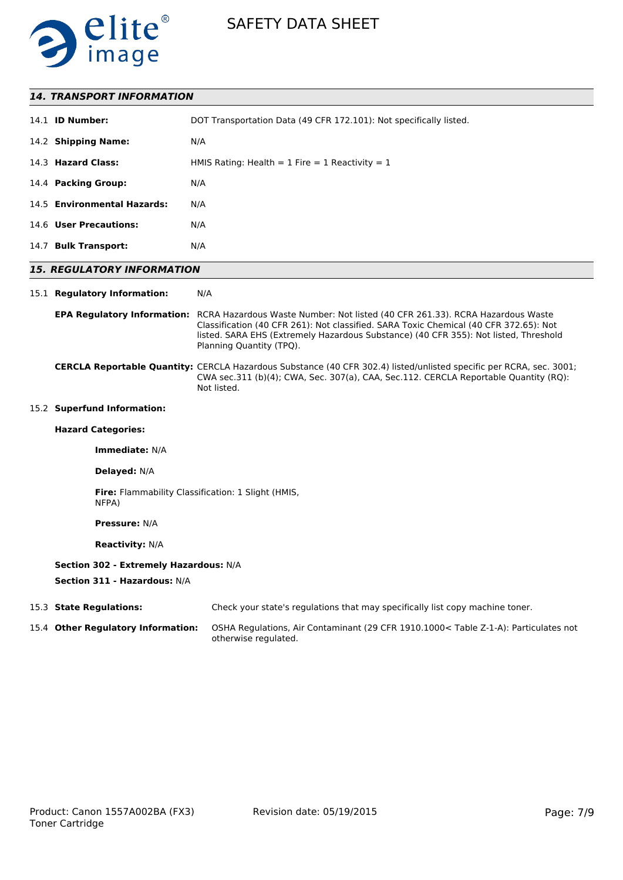

# *14. TRANSPORT INFORMATION*

| 14.1 <b>ID Number:</b>      | DOT Transportation Data (49 CFR 172.101): Not specifically listed. |
|-----------------------------|--------------------------------------------------------------------|
| 14.2 Shipping Name:         | N/A                                                                |
| 14.3 Hazard Class:          | HMIS Rating: Health = $1$ Fire = $1$ Reactivity = $1$              |
| 14.4 Packing Group:         | N/A                                                                |
| 14.5 Environmental Hazards: | N/A                                                                |
| 14.6 User Precautions:      | N/A                                                                |
| 14.7 Bulk Transport:        | N/A                                                                |

# *15. REGULATORY INFORMATION*

#### 15.1 **Regulatory Information:** N/A

#### **EPA Regulatory Information:** RCRA Hazardous Waste Number: Not listed (40 CFR 261.33). RCRA Hazardous Waste Classification (40 CFR 261): Not classified. SARA Toxic Chemical (40 CFR 372.65): Not listed. SARA EHS (Extremely Hazardous Substance) (40 CFR 355): Not listed, Threshold Planning Quantity (TPQ).

#### **CERCLA Reportable Quantity:** CERCLA Hazardous Substance (40 CFR 302.4) listed/unlisted specific per RCRA, sec. 3001; CWA sec.311 (b)(4); CWA, Sec. 307(a), CAA, Sec.112. CERCLA Reportable Quantity (RQ): Not listed.

# 15.2 **Superfund Information:**

# **Hazard Categories:**

**Immediate:** N/A

#### **Delayed:** N/A

**Fire:** Flammability Classification: 1 Slight (HMIS, NFPA)

# **Pressure:** N/A

**Reactivity:** N/A

### **Section 302 - Extremely Hazardous:** N/A

**Section 311 - Hazardous:** N/A

| 15.3 State Regulations:            | Check your state's regulations that may specifically list copy machine toner.                               |
|------------------------------------|-------------------------------------------------------------------------------------------------------------|
| 15.4 Other Regulatory Information: | OSHA Regulations, Air Contaminant (29 CFR 1910.1000< Table Z-1-A): Particulates not<br>otherwise regulated. |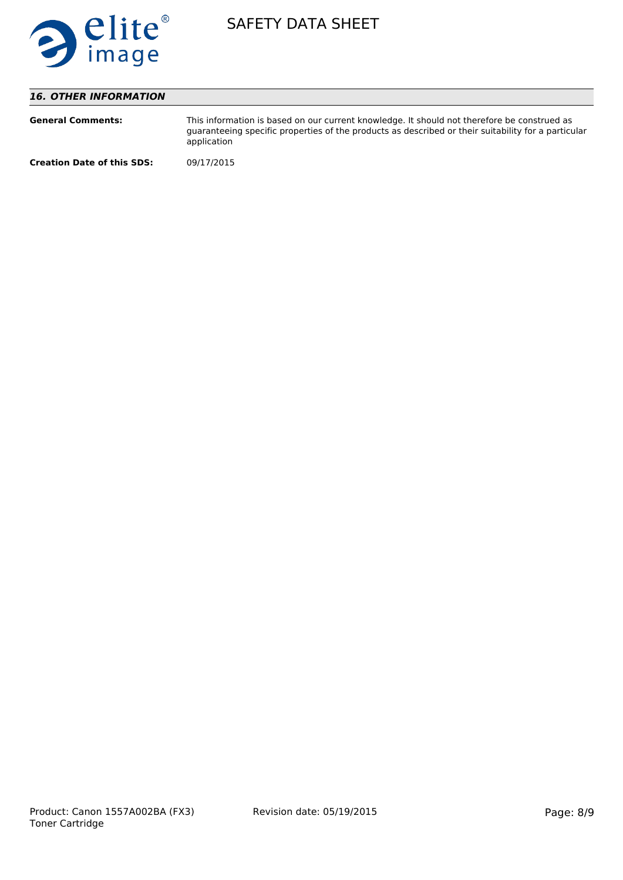

# *16. OTHER INFORMATION*

| <b>General Comments:</b>          | This information is based on our current knowledge. It should not therefore be construed as<br>quaranteeing specific properties of the products as described or their suitability for a particular<br>application |
|-----------------------------------|-------------------------------------------------------------------------------------------------------------------------------------------------------------------------------------------------------------------|
| <b>Creation Date of this SDS:</b> | 09/17/2015                                                                                                                                                                                                        |